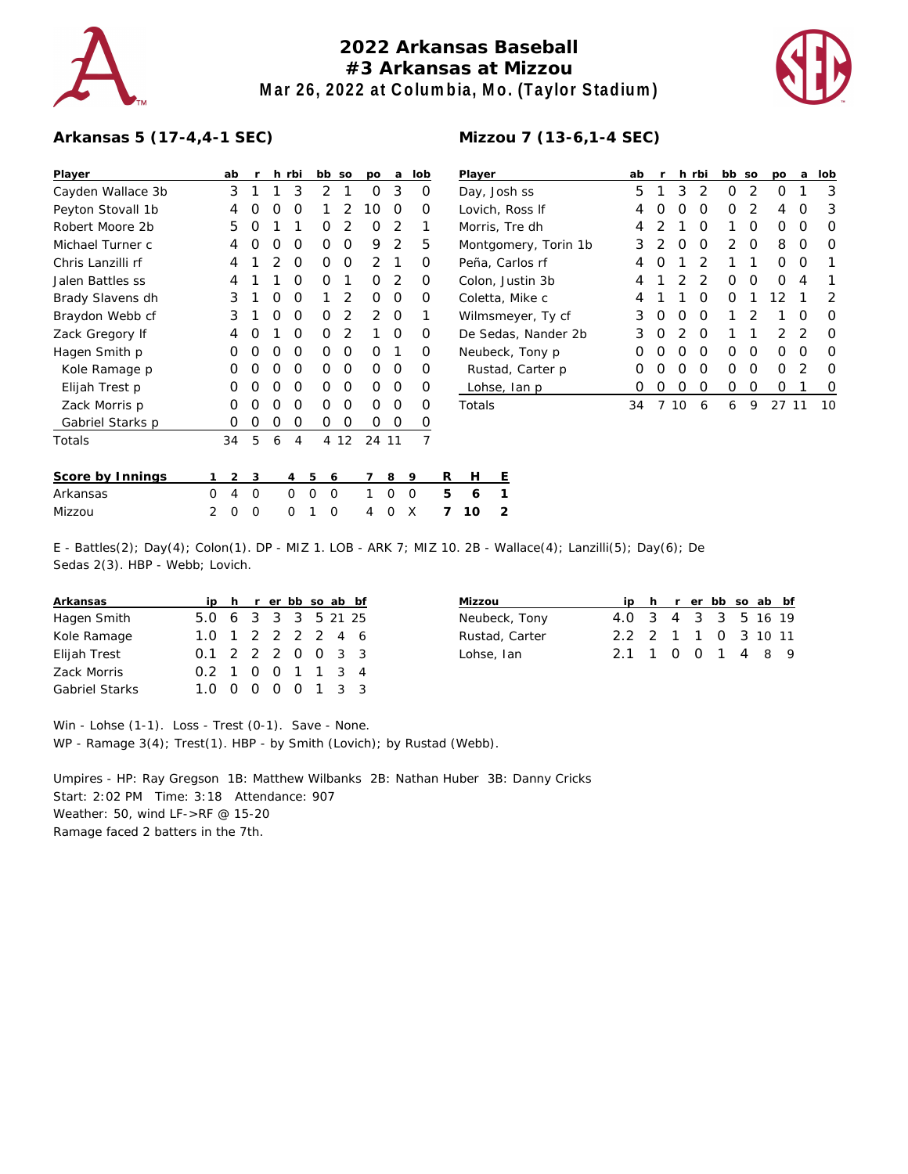

## **2022 Arkansas Baseball #3 Arkansas at Mizzou Mar 26, 2022 at Columbia, Mo. (Taylor Stadium)**



## **Arkansas 5 (17-4,4-1 SEC)**

| Player            |   | ab | r | h.             | rbi      |   | bb       | SO             | po            | a     | lob            |   | Player    |                |
|-------------------|---|----|---|----------------|----------|---|----------|----------------|---------------|-------|----------------|---|-----------|----------------|
| Cayden Wallace 3b |   | 3  | 1 | 1              | 3        |   | 2        | 1              | O             | 3     | O              |   | Day, Jos  |                |
| Peyton Stovall 1b |   | 4  | Ω | O              | O        |   | 1        | 2              | 10            | O     | Ω              |   | Lovich, I |                |
| Robert Moore 2b   |   | 5  | Ω | 1              | 1        |   | O        | $\overline{2}$ | O             | 2     | 1              |   | Morris, 1 |                |
| Michael Turner c  |   | 4  | Ω | O              | O        |   | O        | O              | 9             | 2     | 5              |   | Montgor   |                |
| Chris Lanzilli rf |   | 4  | 1 | $\overline{2}$ | O        |   | O        | O              | $\mathcal{P}$ | 1     | O              |   | Peña, Ca  |                |
| Jalen Battles ss  |   | 4  | 1 | 1              | O        |   | O        | 1              | O             | 2     | Ο              |   | Colon, Jr |                |
| Brady Slavens dh  |   | 3  | 1 | O              | 0        |   | 1        | 2              | O             | O     | Ο              |   | Coletta,  |                |
| Braydon Webb cf   |   | 3  | 1 | O              | O        |   | O        | 2              | 2             | O     | 1              |   | Wilmsm    |                |
| Zack Gregory If   |   | 4  | Ο | 1              | O        |   | O        | 2              | 1             | O     | Ο              |   | De Seda   |                |
| Hagen Smith p     |   | Ο  | Ω | O              | O        |   | O        | O              | 0             | 1     | Ω              |   | Neubeck   |                |
| Kole Ramage p     |   | O  | Ο | O              | O        |   | O        | O              | O             | O     | Ο              |   | Rustad    |                |
| Elijah Trest p    |   | O  | Ω | O              | O        |   | O        | O              | 0             | O     | Ο              |   | Lohse,    |                |
| Zack Morris p     |   | O  | Ω | O              | O        |   | O        | O              | O             | O     | O              |   | Totals    |                |
| Gabriel Starks p  |   | Ο  | O | Ο              | O        |   | Ο        | 0              | Ω             | Ο     | O              |   |           |                |
| Totals            |   | 34 | 5 | 6              | 4        |   | 4        | 12             |               | 24 11 | $\overline{7}$ |   |           |                |
| Score by Innings  | 1 | 2  | 3 |                | 4        | 5 | 6        |                | 7             | 8     | 9              | R | н         | Ε              |
| Arkansas          | O | 4  | O |                | O        | O | O        |                | 1             | O     | Ω              | 5 | 6         | 1              |
| Mizzou            | 2 | O  | Ω |                | $\Omega$ | 1 | $\Omega$ |                | 4             | Ω     | X              | 7 | 10        | $\overline{2}$ |

| Mizzou 7 (13-6, 1-4 SEC) |  |
|--------------------------|--|
|                          |  |

| Player               | ab | r             | h. | rbi           | bb so         |   | po            | a | lob |
|----------------------|----|---------------|----|---------------|---------------|---|---------------|---|-----|
| Day, Josh ss         | 5  | 1             | 3  | 2             | Ω             | 2 | Ω             | 1 | 3   |
| Lovich, Ross If      | 4  | Ω             | Ω  | Ω             | Ω             | 2 | 4             | Ω | 3   |
| Morris, Tre dh       | 4  | $\mathcal{P}$ | 1  | O             | 1             | Ω | Ω             | Ω | O   |
| Montgomery, Torin 1b | 3  | 2             | Ω  | O             | $\mathcal{P}$ | O | 8             | Ω | Ω   |
| Peña, Carlos rf      | 4  | Ω             | 1  | $\mathcal{P}$ | 1             | 1 | Ω             | O |     |
| Colon, Justin 3b     | 4  | 1             | 2  | 2             | Ω             | O | ∩             | 4 | 1   |
| Coletta, Mike c      | 4  | 1             | 1  | ∩             | Ω             | 1 | 12            | 1 | 2   |
| Wilmsmeyer, Ty cf    | 3  | Ω             | Ω  | O             | 1             | 2 | 1             | Ω | Ω   |
| De Sedas, Nander 2b  | 3  | 0             | 2  | $\Omega$      | 1             | 1 | $\mathcal{P}$ | 2 | Ω   |
| Neubeck, Tony p      | Ω  | O             | O  | O             | ∩             | O | Ω             | O | Ω   |
| Rustad, Carter p     | Ω  | Ω             | Ω  | Ω             | Ω             | O | Ω             | 2 | Ω   |
| Lohse, Ian p         | Ω  | Ω             | Ω  | Ω             | ი             | Ω | ∩             | 1 | O   |
| Totals               | 34 |               | ∩  | 6             | 6             | 9 |               |   | 10  |

| E - Battles(2); Day(4); Colon(1). DP - MIZ 1. LOB - ARK 7; MIZ 10. 2B - Wallace(4); Lanzilli(5); Day(6); De |  |  |
|-------------------------------------------------------------------------------------------------------------|--|--|
| Sedas 2(3). HBP - Webb; Lovich.                                                                             |  |  |

| Arkansas              |                     |  |  |  | ip h r er bb so ab bf |
|-----------------------|---------------------|--|--|--|-----------------------|
| Hagen Smith           | 5.0 6 3 3 3 5 21 25 |  |  |  |                       |
| Kole Ramage           | 1.0 1 2 2 2 2 4 6   |  |  |  |                       |
| Elijah Trest          | 0.1 2 2 2 0 0 3 3   |  |  |  |                       |
| Zack Morris           | 0.2 1 0 0 1 1 3 4   |  |  |  |                       |
| <b>Gabriel Starks</b> | 1.0 0 0 0 0 1 3 3   |  |  |  |                       |

| Mizzou         |                     |  | ip h r er bb so ab bf |  |  |
|----------------|---------------------|--|-----------------------|--|--|
| Neubeck, Tony  | 4.0 3 4 3 3 5 16 19 |  |                       |  |  |
| Rustad, Carter | 2.2 2 1 1 0 3 10 11 |  |                       |  |  |
| Lohse, Ian     | 2.1 1 0 0 1 4 8 9   |  |                       |  |  |

Win - Lohse (1-1). Loss - Trest (0-1). Save - None. WP - Ramage 3(4); Trest(1). HBP - by Smith (Lovich); by Rustad (Webb).

Umpires - HP: Ray Gregson 1B: Matthew Wilbanks 2B: Nathan Huber 3B: Danny Cricks Start: 2:02 PM Time: 3:18 Attendance: 907 Weather: 50, wind LF->RF @ 15-20 Ramage faced 2 batters in the 7th.